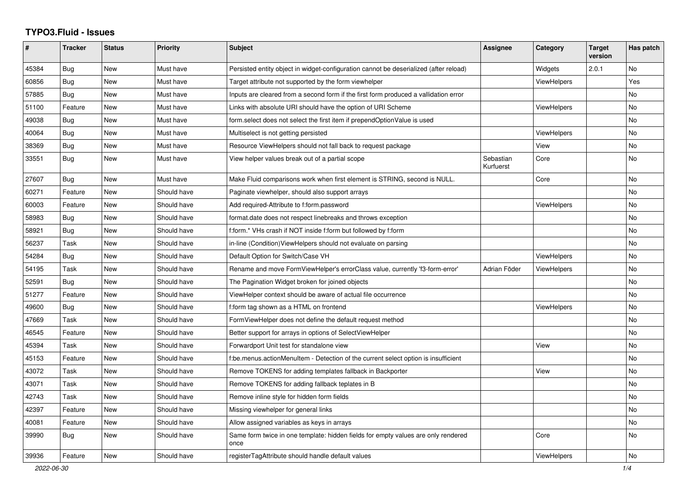## **TYPO3.Fluid - Issues**

| #     | <b>Tracker</b> | <b>Status</b> | <b>Priority</b> | <b>Subject</b>                                                                            | Assignee               | Category           | <b>Target</b><br>version | Has patch |
|-------|----------------|---------------|-----------------|-------------------------------------------------------------------------------------------|------------------------|--------------------|--------------------------|-----------|
| 45384 | Bug            | New           | Must have       | Persisted entity object in widget-configuration cannot be deserialized (after reload)     |                        | Widgets            | 2.0.1                    | No        |
| 60856 | Bug            | New           | Must have       | Target attribute not supported by the form viewhelper                                     |                        | <b>ViewHelpers</b> |                          | Yes       |
| 57885 | <b>Bug</b>     | New           | Must have       | Inputs are cleared from a second form if the first form produced a vallidation error      |                        |                    |                          | No        |
| 51100 | Feature        | New           | Must have       | Links with absolute URI should have the option of URI Scheme                              |                        | <b>ViewHelpers</b> |                          | <b>No</b> |
| 49038 | <b>Bug</b>     | <b>New</b>    | Must have       | form.select does not select the first item if prependOptionValue is used                  |                        |                    |                          | <b>No</b> |
| 40064 | Bug            | New           | Must have       | Multiselect is not getting persisted                                                      |                        | ViewHelpers        |                          | <b>No</b> |
| 38369 | Bug            | New           | Must have       | Resource ViewHelpers should not fall back to request package                              |                        | View               |                          | No        |
| 33551 | Bug            | New           | Must have       | View helper values break out of a partial scope                                           | Sebastian<br>Kurfuerst | Core               |                          | <b>No</b> |
| 27607 | Bug            | New           | Must have       | Make Fluid comparisons work when first element is STRING, second is NULL.                 |                        | Core               |                          | No        |
| 60271 | Feature        | New           | Should have     | Paginate viewhelper, should also support arrays                                           |                        |                    |                          | No        |
| 60003 | Feature        | New           | Should have     | Add required-Attribute to f:form.password                                                 |                        | <b>ViewHelpers</b> |                          | No        |
| 58983 | <b>Bug</b>     | New           | Should have     | format.date does not respect linebreaks and throws exception                              |                        |                    |                          | No        |
| 58921 | <b>Bug</b>     | New           | Should have     | f:form.* VHs crash if NOT inside f:form but followed by f:form                            |                        |                    |                          | No        |
| 56237 | Task           | <b>New</b>    | Should have     | in-line (Condition) View Helpers should not evaluate on parsing                           |                        |                    |                          | No        |
| 54284 | Bug            | New           | Should have     | Default Option for Switch/Case VH                                                         |                        | ViewHelpers        |                          | <b>No</b> |
| 54195 | Task           | New           | Should have     | Rename and move FormViewHelper's errorClass value, currently 'f3-form-error'              | Adrian Föder           | <b>ViewHelpers</b> |                          | No        |
| 52591 | Bug            | New           | Should have     | The Pagination Widget broken for joined objects                                           |                        |                    |                          | No        |
| 51277 | Feature        | New           | Should have     | ViewHelper context should be aware of actual file occurrence                              |                        |                    |                          | No        |
| 49600 | Bug            | New           | Should have     | f:form tag shown as a HTML on frontend                                                    |                        | <b>ViewHelpers</b> |                          | No        |
| 47669 | Task           | <b>New</b>    | Should have     | FormViewHelper does not define the default request method                                 |                        |                    |                          | <b>No</b> |
| 46545 | Feature        | New           | Should have     | Better support for arrays in options of SelectViewHelper                                  |                        |                    |                          | <b>No</b> |
| 45394 | Task           | New           | Should have     | Forwardport Unit test for standalone view                                                 |                        | View               |                          | No        |
| 45153 | Feature        | New           | Should have     | f:be.menus.actionMenuItem - Detection of the current select option is insufficient        |                        |                    |                          | <b>No</b> |
| 43072 | Task           | New           | Should have     | Remove TOKENS for adding templates fallback in Backporter                                 |                        | View               |                          | <b>No</b> |
| 43071 | Task           | New           | Should have     | Remove TOKENS for adding fallback teplates in B                                           |                        |                    |                          | No        |
| 42743 | Task           | New           | Should have     | Remove inline style for hidden form fields                                                |                        |                    |                          | No        |
| 42397 | Feature        | New           | Should have     | Missing viewhelper for general links                                                      |                        |                    |                          | No        |
| 40081 | Feature        | <b>New</b>    | Should have     | Allow assigned variables as keys in arrays                                                |                        |                    |                          | No        |
| 39990 | Bug            | New           | Should have     | Same form twice in one template: hidden fields for empty values are only rendered<br>once |                        | Core               |                          | <b>No</b> |
| 39936 | Feature        | <b>New</b>    | Should have     | registerTagAttribute should handle default values                                         |                        | ViewHelpers        |                          | No        |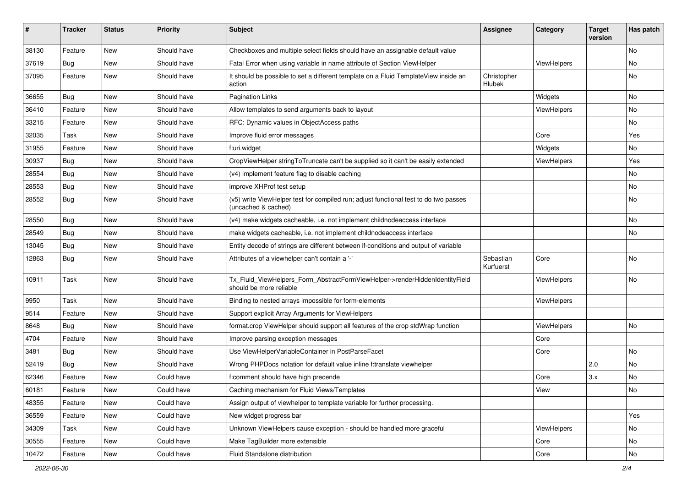| #     | <b>Tracker</b> | <b>Status</b> | <b>Priority</b> | Subject                                                                                                     | <b>Assignee</b>        | Category    | <b>Target</b><br>version | Has patch |
|-------|----------------|---------------|-----------------|-------------------------------------------------------------------------------------------------------------|------------------------|-------------|--------------------------|-----------|
| 38130 | Feature        | New           | Should have     | Checkboxes and multiple select fields should have an assignable default value                               |                        |             |                          | <b>No</b> |
| 37619 | Bug            | New           | Should have     | Fatal Error when using variable in name attribute of Section ViewHelper                                     |                        | ViewHelpers |                          | No        |
| 37095 | Feature        | New           | Should have     | It should be possible to set a different template on a Fluid TemplateView inside an<br>action               | Christopher<br>Hlubek  |             |                          | No        |
| 36655 | Bug            | New           | Should have     | <b>Pagination Links</b>                                                                                     |                        | Widgets     |                          | No        |
| 36410 | Feature        | New           | Should have     | Allow templates to send arguments back to layout                                                            |                        | ViewHelpers |                          | No        |
| 33215 | Feature        | New           | Should have     | RFC: Dynamic values in ObjectAccess paths                                                                   |                        |             |                          | No        |
| 32035 | Task           | New           | Should have     | Improve fluid error messages                                                                                |                        | Core        |                          | Yes       |
| 31955 | Feature        | New           | Should have     | f:uri.widget                                                                                                |                        | Widgets     |                          | No        |
| 30937 | Bug            | New           | Should have     | CropViewHelper stringToTruncate can't be supplied so it can't be easily extended                            |                        | ViewHelpers |                          | Yes       |
| 28554 | Bug            | New           | Should have     | (v4) implement feature flag to disable caching                                                              |                        |             |                          | No        |
| 28553 | Bug            | New           | Should have     | improve XHProf test setup                                                                                   |                        |             |                          | No        |
| 28552 | Bug            | New           | Should have     | (v5) write ViewHelper test for compiled run; adjust functional test to do two passes<br>(uncached & cached) |                        |             |                          | No        |
| 28550 | Bug            | New           | Should have     | (v4) make widgets cacheable, i.e. not implement childnodeaccess interface                                   |                        |             |                          | No        |
| 28549 | Bug            | New           | Should have     | make widgets cacheable, i.e. not implement childnodeaccess interface                                        |                        |             |                          | No        |
| 13045 | Bug            | New           | Should have     | Entity decode of strings are different between if-conditions and output of variable                         |                        |             |                          |           |
| 12863 | Bug            | New           | Should have     | Attributes of a viewhelper can't contain a '-'                                                              | Sebastian<br>Kurfuerst | Core        |                          | No        |
| 10911 | Task           | New           | Should have     | Tx_Fluid_ViewHelpers_Form_AbstractFormViewHelper->renderHiddenIdentityField<br>should be more reliable      |                        | ViewHelpers |                          | No        |
| 9950  | Task           | <b>New</b>    | Should have     | Binding to nested arrays impossible for form-elements                                                       |                        | ViewHelpers |                          |           |
| 9514  | Feature        | New           | Should have     | Support explicit Array Arguments for ViewHelpers                                                            |                        |             |                          |           |
| 8648  | Bug            | New           | Should have     | format.crop ViewHelper should support all features of the crop stdWrap function                             |                        | ViewHelpers |                          | No        |
| 4704  | Feature        | New           | Should have     | Improve parsing exception messages                                                                          |                        | Core        |                          |           |
| 3481  | Bug            | New           | Should have     | Use ViewHelperVariableContainer in PostParseFacet                                                           |                        | Core        |                          | No        |
| 52419 | Bug            | New           | Should have     | Wrong PHPDocs notation for default value inline f:translate viewhelper                                      |                        |             | 2.0                      | No        |
| 62346 | Feature        | New           | Could have      | f:comment should have high precende                                                                         |                        | Core        | 3.x                      | No        |
| 60181 | Feature        | New           | Could have      | Caching mechanism for Fluid Views/Templates                                                                 |                        | View        |                          | No        |
| 48355 | Feature        | New           | Could have      | Assign output of viewhelper to template variable for further processing.                                    |                        |             |                          |           |
| 36559 | Feature        | New           | Could have      | New widget progress bar                                                                                     |                        |             |                          | Yes       |
| 34309 | Task           | New           | Could have      | Unknown ViewHelpers cause exception - should be handled more graceful                                       |                        | ViewHelpers |                          | No        |
| 30555 | Feature        | New           | Could have      | Make TagBuilder more extensible                                                                             |                        | Core        |                          | No        |
| 10472 | Feature        | New           | Could have      | Fluid Standalone distribution                                                                               |                        | Core        |                          | No        |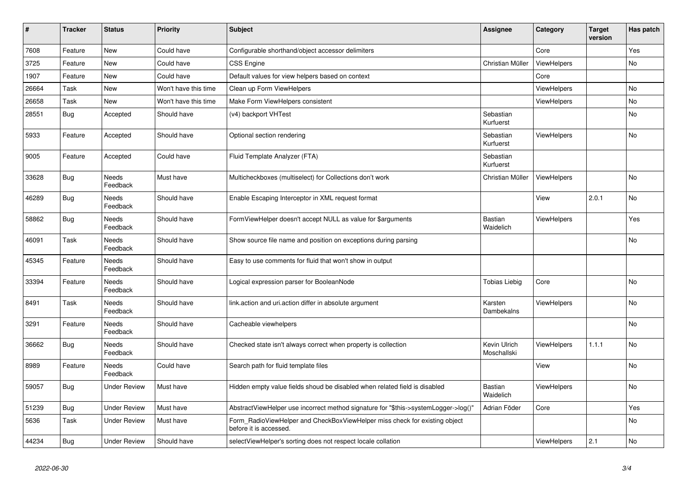| $\vert$ # | <b>Tracker</b> | <b>Status</b>            | <b>Priority</b>      | <b>Subject</b>                                                                                       | <b>Assignee</b>             | Category           | <b>Target</b><br>version | Has patch |
|-----------|----------------|--------------------------|----------------------|------------------------------------------------------------------------------------------------------|-----------------------------|--------------------|--------------------------|-----------|
| 7608      | Feature        | New                      | Could have           | Configurable shorthand/object accessor delimiters                                                    |                             | Core               |                          | Yes       |
| 3725      | Feature        | New                      | Could have           | <b>CSS Engine</b>                                                                                    | Christian Müller            | ViewHelpers        |                          | No        |
| 1907      | Feature        | New                      | Could have           | Default values for view helpers based on context                                                     |                             | Core               |                          |           |
| 26664     | Task           | New                      | Won't have this time | Clean up Form ViewHelpers                                                                            |                             | ViewHelpers        |                          | No        |
| 26658     | Task           | New                      | Won't have this time | Make Form ViewHelpers consistent                                                                     |                             | ViewHelpers        |                          | No        |
| 28551     | <b>Bug</b>     | Accepted                 | Should have          | (v4) backport VHTest                                                                                 | Sebastian<br>Kurfuerst      |                    |                          | <b>No</b> |
| 5933      | Feature        | Accepted                 | Should have          | Optional section rendering                                                                           | Sebastian<br>Kurfuerst      | <b>ViewHelpers</b> |                          | <b>No</b> |
| 9005      | Feature        | Accepted                 | Could have           | Fluid Template Analyzer (FTA)                                                                        | Sebastian<br>Kurfuerst      |                    |                          |           |
| 33628     | <b>Bug</b>     | Needs<br>Feedback        | Must have            | Multicheckboxes (multiselect) for Collections don't work                                             | Christian Müller            | <b>ViewHelpers</b> |                          | No        |
| 46289     | Bug            | Needs<br>Feedback        | Should have          | Enable Escaping Interceptor in XML request format                                                    |                             | View               | 2.0.1                    | <b>No</b> |
| 58862     | Bug            | Needs<br>Feedback        | Should have          | FormViewHelper doesn't accept NULL as value for \$arguments                                          | <b>Bastian</b><br>Waidelich | ViewHelpers        |                          | Yes       |
| 46091     | Task           | Needs<br>Feedback        | Should have          | Show source file name and position on exceptions during parsing                                      |                             |                    |                          | No        |
| 45345     | Feature        | Needs<br>Feedback        | Should have          | Easy to use comments for fluid that won't show in output                                             |                             |                    |                          |           |
| 33394     | Feature        | Needs<br>Feedback        | Should have          | Logical expression parser for BooleanNode                                                            | <b>Tobias Liebig</b>        | Core               |                          | No        |
| 8491      | Task           | Needs<br>Feedback        | Should have          | link.action and uri.action differ in absolute argument                                               | Karsten<br>Dambekalns       | <b>ViewHelpers</b> |                          | No        |
| 3291      | Feature        | Needs<br>Feedback        | Should have          | Cacheable viewhelpers                                                                                |                             |                    |                          | <b>No</b> |
| 36662     | <b>Bug</b>     | <b>Needs</b><br>Feedback | Should have          | Checked state isn't always correct when property is collection                                       | Kevin Ulrich<br>Moschallski | <b>ViewHelpers</b> | 1.1.1                    | <b>No</b> |
| 8989      | Feature        | Needs<br>Feedback        | Could have           | Search path for fluid template files                                                                 |                             | View               |                          | No        |
| 59057     | Bug            | Under Review             | Must have            | Hidden empty value fields shoud be disabled when related field is disabled                           | Bastian<br>Waidelich        | <b>ViewHelpers</b> |                          | No        |
| 51239     | <b>Bug</b>     | <b>Under Review</b>      | Must have            | AbstractViewHelper use incorrect method signature for "\$this->systemLogger->log()"                  | Adrian Föder                | Core               |                          | Yes       |
| 5636      | Task           | Under Review             | Must have            | Form_RadioViewHelper and CheckBoxViewHelper miss check for existing object<br>before it is accessed. |                             |                    |                          | No        |
| 44234     | Bug            | <b>Under Review</b>      | Should have          | selectViewHelper's sorting does not respect locale collation                                         |                             | <b>ViewHelpers</b> | 2.1                      | No        |